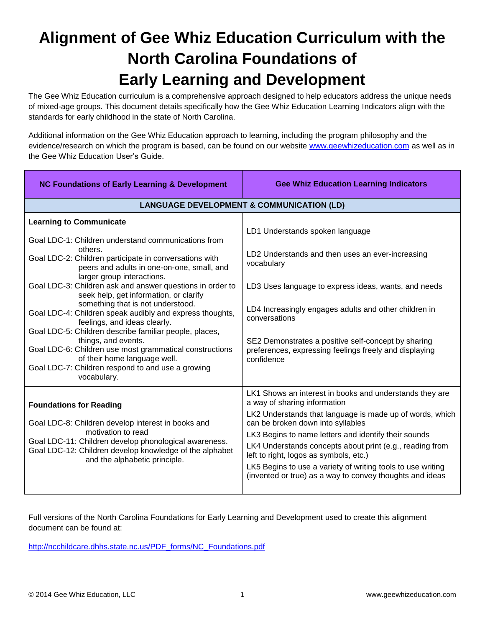# **Alignment of Gee Whiz Education Curriculum with the North Carolina Foundations of Early Learning and Development**

The Gee Whiz Education curriculum is a comprehensive approach designed to help educators address the unique needs of mixed-age groups. This document details specifically how the Gee Whiz Education Learning Indicators align with the standards for early childhood in the state of North Carolina.

Additional information on the Gee Whiz Education approach to learning, including the program philosophy and the evidence/research on which the program is based, can be found on our website [www.geewhizeducation.com](http://www.geewhizeducation.com/) as well as in the Gee Whiz Education User's Guide.

| <b>NC Foundations of Early Learning &amp; Development</b>                                                                                                                                                                                                                                                                                                                                                                                                                                                                                                                                                                                                                                                                      | <b>Gee Whiz Education Learning Indicators</b>                                                                                                                                                                                                                                                                                                                                                                                                                                     |  |
|--------------------------------------------------------------------------------------------------------------------------------------------------------------------------------------------------------------------------------------------------------------------------------------------------------------------------------------------------------------------------------------------------------------------------------------------------------------------------------------------------------------------------------------------------------------------------------------------------------------------------------------------------------------------------------------------------------------------------------|-----------------------------------------------------------------------------------------------------------------------------------------------------------------------------------------------------------------------------------------------------------------------------------------------------------------------------------------------------------------------------------------------------------------------------------------------------------------------------------|--|
| <b>LANGUAGE DEVELOPMENT &amp; COMMUNICATION (LD)</b>                                                                                                                                                                                                                                                                                                                                                                                                                                                                                                                                                                                                                                                                           |                                                                                                                                                                                                                                                                                                                                                                                                                                                                                   |  |
| <b>Learning to Communicate</b><br>Goal LDC-1: Children understand communications from<br>others.<br>Goal LDC-2: Children participate in conversations with<br>peers and adults in one-on-one, small, and<br>larger group interactions.<br>Goal LDC-3: Children ask and answer questions in order to<br>seek help, get information, or clarify<br>something that is not understood.<br>Goal LDC-4: Children speak audibly and express thoughts,<br>feelings, and ideas clearly.<br>Goal LDC-5: Children describe familiar people, places,<br>things, and events.<br>Goal LDC-6: Children use most grammatical constructions<br>of their home language well.<br>Goal LDC-7: Children respond to and use a growing<br>vocabulary. | LD1 Understands spoken language<br>LD2 Understands and then uses an ever-increasing<br>vocabulary<br>LD3 Uses language to express ideas, wants, and needs<br>LD4 Increasingly engages adults and other children in<br>conversations<br>SE2 Demonstrates a positive self-concept by sharing<br>preferences, expressing feelings freely and displaying<br>confidence                                                                                                                |  |
| <b>Foundations for Reading</b><br>Goal LDC-8: Children develop interest in books and<br>motivation to read<br>Goal LDC-11: Children develop phonological awareness.<br>Goal LDC-12: Children develop knowledge of the alphabet<br>and the alphabetic principle.                                                                                                                                                                                                                                                                                                                                                                                                                                                                | LK1 Shows an interest in books and understands they are<br>a way of sharing information<br>LK2 Understands that language is made up of words, which<br>can be broken down into syllables<br>LK3 Begins to name letters and identify their sounds<br>LK4 Understands concepts about print (e.g., reading from<br>left to right, logos as symbols, etc.)<br>LK5 Begins to use a variety of writing tools to use writing<br>(invented or true) as a way to convey thoughts and ideas |  |

Full versions of the North Carolina Foundations for Early Learning and Development used to create this alignment document can be found at:

[http://ncchildcare.dhhs.state.nc.us/PDF\\_forms/NC\\_Foundations.pdf](http://ncchildcare.dhhs.state.nc.us/PDF_forms/NC_Foundations.pdf)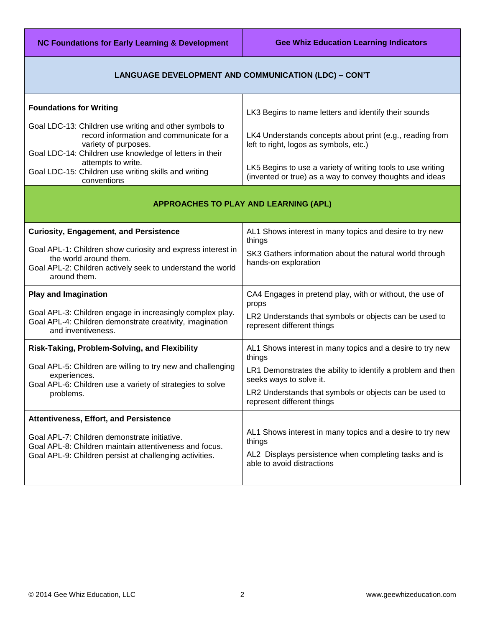**NC Foundations for Early Learning & Development Gee Whiz Education Learning Indicators** 

### **LANGUAGE DEVELOPMENT AND COMMUNICATION (LDC) – CON'T**

| <b>Foundations for Writing</b>                                                                                                                       | LK3 Begins to name letters and identify their sounds                                                                    |
|------------------------------------------------------------------------------------------------------------------------------------------------------|-------------------------------------------------------------------------------------------------------------------------|
| Goal LDC-13: Children use writing and other symbols to<br>record information and communicate for a<br>variety of purposes.                           | LK4 Understands concepts about print (e.g., reading from<br>left to right, logos as symbols, etc.)                      |
| Goal LDC-14: Children use knowledge of letters in their<br>attempts to write.<br>Goal LDC-15: Children use writing skills and writing<br>conventions | LK5 Begins to use a variety of writing tools to use writing<br>(invented or true) as a way to convey thoughts and ideas |

## **APPROACHES TO PLAY AND LEARNING (APL)**

| <b>Curiosity, Engagement, and Persistence</b><br>Goal APL-1: Children show curiosity and express interest in<br>the world around them.<br>Goal APL-2: Children actively seek to understand the world<br>around them. | AL1 Shows interest in many topics and desire to try new<br>things<br>SK3 Gathers information about the natural world through<br>hands-on exploration                                                                                                  |
|----------------------------------------------------------------------------------------------------------------------------------------------------------------------------------------------------------------------|-------------------------------------------------------------------------------------------------------------------------------------------------------------------------------------------------------------------------------------------------------|
| <b>Play and Imagination</b>                                                                                                                                                                                          | CA4 Engages in pretend play, with or without, the use of                                                                                                                                                                                              |
| Goal APL-3: Children engage in increasingly complex play.                                                                                                                                                            | props                                                                                                                                                                                                                                                 |
| Goal APL-4: Children demonstrate creativity, imagination                                                                                                                                                             | LR2 Understands that symbols or objects can be used to                                                                                                                                                                                                |
| and inventiveness.                                                                                                                                                                                                   | represent different things                                                                                                                                                                                                                            |
| Risk-Taking, Problem-Solving, and Flexibility<br>Goal APL-5: Children are willing to try new and challenging<br>experiences.<br>Goal APL-6: Children use a variety of strategies to solve<br>problems.               | AL1 Shows interest in many topics and a desire to try new<br>things<br>LR1 Demonstrates the ability to identify a problem and then<br>seeks ways to solve it.<br>LR2 Understands that symbols or objects can be used to<br>represent different things |
| Attentiveness, Effort, and Persistence                                                                                                                                                                               | AL1 Shows interest in many topics and a desire to try new                                                                                                                                                                                             |
| Goal APL-7: Children demonstrate initiative.                                                                                                                                                                         | things                                                                                                                                                                                                                                                |
| Goal APL-8: Children maintain attentiveness and focus.                                                                                                                                                               | AL2 Displays persistence when completing tasks and is                                                                                                                                                                                                 |
| Goal APL-9: Children persist at challenging activities.                                                                                                                                                              | able to avoid distractions                                                                                                                                                                                                                            |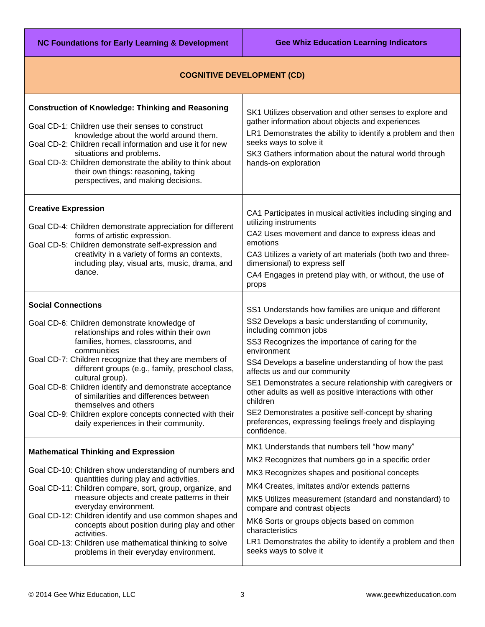**NC Foundations for Early Learning & Development Gee Whiz Education Learning Indicators** 

## **COGNITIVE DEVELOPMENT (CD)**

| <b>Construction of Knowledge: Thinking and Reasoning</b><br>Goal CD-1: Children use their senses to construct<br>knowledge about the world around them.<br>Goal CD-2: Children recall information and use it for new<br>situations and problems.<br>Goal CD-3: Children demonstrate the ability to think about<br>their own things: reasoning, taking<br>perspectives, and making decisions.                                                                                                                                                    | SK1 Utilizes observation and other senses to explore and<br>gather information about objects and experiences<br>LR1 Demonstrates the ability to identify a problem and then<br>seeks ways to solve it<br>SK3 Gathers information about the natural world through<br>hands-on exploration                                                                                                                                                                                                                                                                           |
|-------------------------------------------------------------------------------------------------------------------------------------------------------------------------------------------------------------------------------------------------------------------------------------------------------------------------------------------------------------------------------------------------------------------------------------------------------------------------------------------------------------------------------------------------|--------------------------------------------------------------------------------------------------------------------------------------------------------------------------------------------------------------------------------------------------------------------------------------------------------------------------------------------------------------------------------------------------------------------------------------------------------------------------------------------------------------------------------------------------------------------|
| <b>Creative Expression</b><br>Goal CD-4: Children demonstrate appreciation for different<br>forms of artistic expression.<br>Goal CD-5: Children demonstrate self-expression and<br>creativity in a variety of forms an contexts,<br>including play, visual arts, music, drama, and<br>dance.                                                                                                                                                                                                                                                   | CA1 Participates in musical activities including singing and<br>utilizing instruments<br>CA2 Uses movement and dance to express ideas and<br>emotions<br>CA3 Utilizes a variety of art materials (both two and three-<br>dimensional) to express self<br>CA4 Engages in pretend play with, or without, the use of<br>props                                                                                                                                                                                                                                         |
| <b>Social Connections</b><br>Goal CD-6: Children demonstrate knowledge of<br>relationships and roles within their own<br>families, homes, classrooms, and<br>communities<br>Goal CD-7: Children recognize that they are members of<br>different groups (e.g., family, preschool class,<br>cultural group).<br>Goal CD-8: Children identify and demonstrate acceptance<br>of similarities and differences between<br>themselves and others<br>Goal CD-9: Children explore concepts connected with their<br>daily experiences in their community. | SS1 Understands how families are unique and different<br>SS2 Develops a basic understanding of community,<br>including common jobs<br>SS3 Recognizes the importance of caring for the<br>environment<br>SS4 Develops a baseline understanding of how the past<br>affects us and our community<br>SE1 Demonstrates a secure relationship with caregivers or<br>other adults as well as positive interactions with other<br>children<br>SE2 Demonstrates a positive self-concept by sharing<br>preferences, expressing feelings freely and displaying<br>confidence. |
| <b>Mathematical Thinking and Expression</b><br>Goal CD-10: Children show understanding of numbers and<br>quantities during play and activities.<br>Goal CD-11: Children compare, sort, group, organize, and<br>measure objects and create patterns in their<br>everyday environment.<br>Goal CD-12: Children identify and use common shapes and<br>concepts about position during play and other<br>activities.<br>Goal CD-13: Children use mathematical thinking to solve<br>problems in their everyday environment.                           | MK1 Understands that numbers tell "how many"<br>MK2 Recognizes that numbers go in a specific order<br>MK3 Recognizes shapes and positional concepts<br>MK4 Creates, imitates and/or extends patterns<br>MK5 Utilizes measurement (standard and nonstandard) to<br>compare and contrast objects<br>MK6 Sorts or groups objects based on common<br>characteristics<br>LR1 Demonstrates the ability to identify a problem and then<br>seeks ways to solve it                                                                                                          |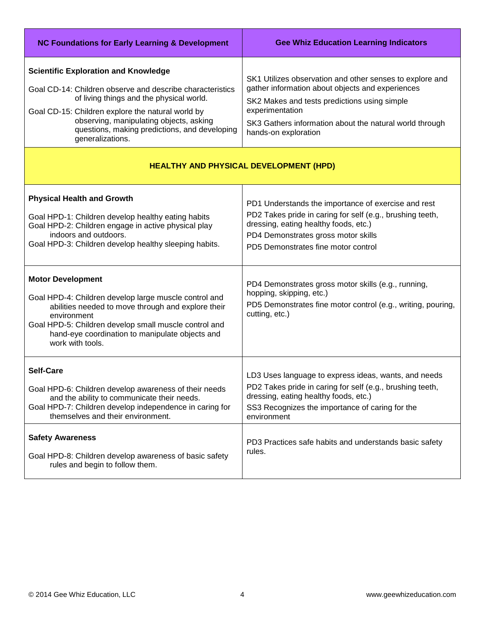| <b>NC Foundations for Early Learning &amp; Development</b>                                                                                                                                                                                                                                                                | <b>Gee Whiz Education Learning Indicators</b>                                                                                                                                                                                                                      |  |
|---------------------------------------------------------------------------------------------------------------------------------------------------------------------------------------------------------------------------------------------------------------------------------------------------------------------------|--------------------------------------------------------------------------------------------------------------------------------------------------------------------------------------------------------------------------------------------------------------------|--|
| <b>Scientific Exploration and Knowledge</b><br>Goal CD-14: Children observe and describe characteristics<br>of living things and the physical world.<br>Goal CD-15: Children explore the natural world by<br>observing, manipulating objects, asking<br>questions, making predictions, and developing<br>generalizations. | SK1 Utilizes observation and other senses to explore and<br>gather information about objects and experiences<br>SK2 Makes and tests predictions using simple<br>experimentation<br>SK3 Gathers information about the natural world through<br>hands-on exploration |  |
| <b>HEALTHY AND PHYSICAL DEVELOPMENT (HPD)</b>                                                                                                                                                                                                                                                                             |                                                                                                                                                                                                                                                                    |  |
| <b>Physical Health and Growth</b><br>Goal HPD-1: Children develop healthy eating habits<br>Goal HPD-2: Children engage in active physical play<br>indoors and outdoors.<br>Goal HPD-3: Children develop healthy sleeping habits.                                                                                          | PD1 Understands the importance of exercise and rest<br>PD2 Takes pride in caring for self (e.g., brushing teeth,<br>dressing, eating healthy foods, etc.)<br>PD4 Demonstrates gross motor skills<br>PD5 Demonstrates fine motor control                            |  |
| <b>Motor Development</b><br>Goal HPD-4: Children develop large muscle control and<br>abilities needed to move through and explore their<br>environment<br>Goal HPD-5: Children develop small muscle control and<br>hand-eye coordination to manipulate objects and<br>work with tools.                                    | PD4 Demonstrates gross motor skills (e.g., running,<br>hopping, skipping, etc.)<br>PD5 Demonstrates fine motor control (e.g., writing, pouring,<br>cutting, etc.)                                                                                                  |  |
| <b>Self-Care</b><br>Goal HPD-6: Children develop awareness of their needs<br>and the ability to communicate their needs.<br>Goal HPD-7: Children develop independence in caring for<br>themselves and their environment.                                                                                                  | LD3 Uses language to express ideas, wants, and needs<br>PD2 Takes pride in caring for self (e.g., brushing teeth,<br>dressing, eating healthy foods, etc.)<br>SS3 Recognizes the importance of caring for the<br>environment                                       |  |
| <b>Safety Awareness</b><br>Goal HPD-8: Children develop awareness of basic safety<br>rules and begin to follow them.                                                                                                                                                                                                      | PD3 Practices safe habits and understands basic safety<br>rules.                                                                                                                                                                                                   |  |